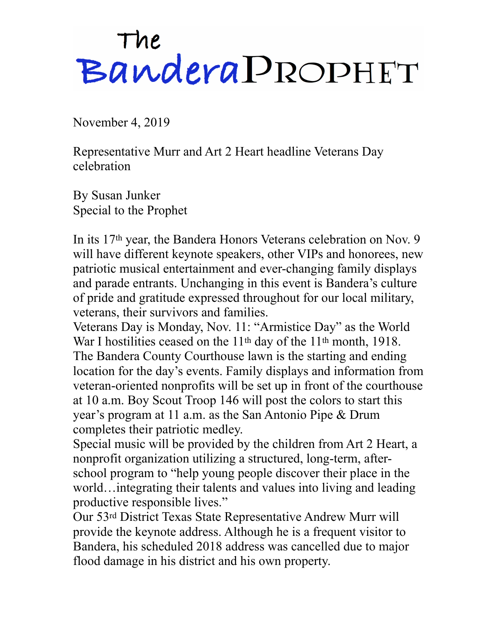## The<br>Bandera PROPHET

November 4, 2019

Representative Murr and Art 2 Heart headline Veterans Day celebration

By Susan Junker Special to the Prophet

In its 17th year, the Bandera Honors Veterans celebration on Nov. 9 will have different keynote speakers, other VIPs and honorees, new patriotic musical entertainment and ever-changing family displays and parade entrants. Unchanging in this event is Bandera's culture of pride and gratitude expressed throughout for our local military, veterans, their survivors and families.

Veterans Day is Monday, Nov. 11: "Armistice Day" as the World War I hostilities ceased on the 11<sup>th</sup> day of the 11<sup>th</sup> month, 1918. The Bandera County Courthouse lawn is the starting and ending location for the day's events. Family displays and information from veteran-oriented nonprofits will be set up in front of the courthouse at 10 a.m. Boy Scout Troop 146 will post the colors to start this year's program at 11 a.m. as the San Antonio Pipe & Drum completes their patriotic medley.

Special music will be provided by the children from Art 2 Heart, a nonprofit organization utilizing a structured, long-term, afterschool program to "help young people discover their place in the world…integrating their talents and values into living and leading productive responsible lives."

Our 53rd District Texas State Representative Andrew Murr will provide the keynote address. Although he is a frequent visitor to Bandera, his scheduled 2018 address was cancelled due to major flood damage in his district and his own property.